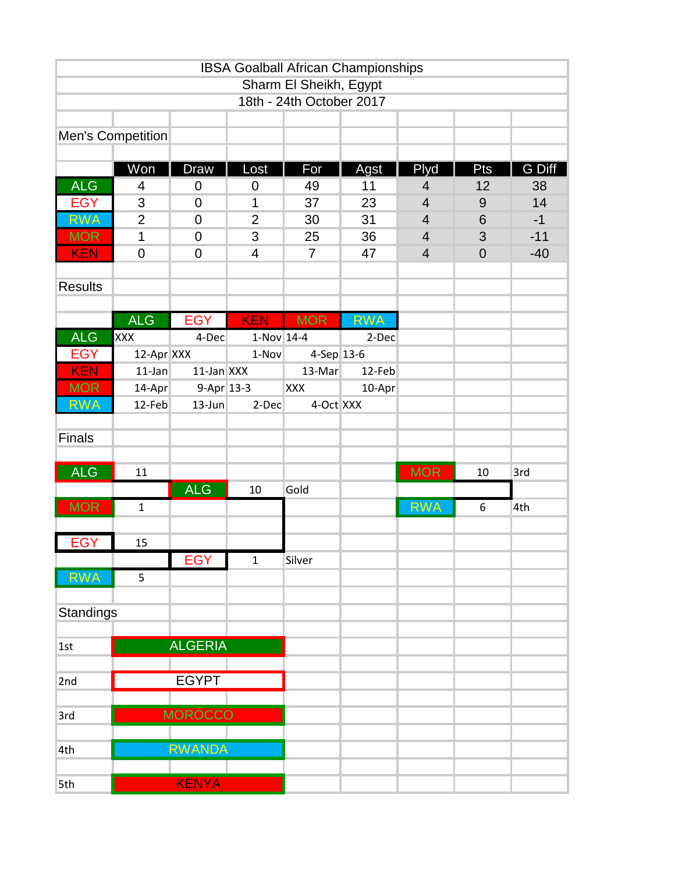| <b>IBSA Goalball African Championships</b> |                   |                |                |                |            |                |                |               |  |  |  |  |
|--------------------------------------------|-------------------|----------------|----------------|----------------|------------|----------------|----------------|---------------|--|--|--|--|
| Sharm El Sheikh, Egypt                     |                   |                |                |                |            |                |                |               |  |  |  |  |
| 18th - 24th October 2017                   |                   |                |                |                |            |                |                |               |  |  |  |  |
|                                            |                   |                |                |                |            |                |                |               |  |  |  |  |
|                                            | Men's Competition |                |                |                |            |                |                |               |  |  |  |  |
|                                            | Won               | Draw           | Lost           | For            | Agst       | Plyd           | Pts            | <b>G</b> Diff |  |  |  |  |
| <b>ALG</b>                                 | 4                 | $\mathbf 0$    | $\mathbf 0$    | 49             | 11         | $\overline{4}$ | 12             | 38            |  |  |  |  |
| <b>EGY</b>                                 | 3                 | $\overline{0}$ | 1              | 37             | 23         | $\overline{4}$ | 9              | 14            |  |  |  |  |
| <b>RWA</b>                                 | $\overline{c}$    | $\mathbf 0$    | $\overline{2}$ | 30             | 31         | $\overline{4}$ | 6              | $-1$          |  |  |  |  |
| <b>MOR</b>                                 | $\mathbf{1}$      | $\overline{0}$ | $\overline{3}$ | 25             | 36         | $\overline{4}$ | 3              | $-11$         |  |  |  |  |
| <b>KEN</b>                                 | $\overline{0}$    | $\overline{0}$ | $\overline{4}$ | $\overline{7}$ | 47         | $\overline{4}$ | $\overline{0}$ | $-40$         |  |  |  |  |
|                                            |                   |                |                |                |            |                |                |               |  |  |  |  |
| <b>Results</b>                             |                   |                |                |                |            |                |                |               |  |  |  |  |
|                                            |                   |                |                |                |            |                |                |               |  |  |  |  |
|                                            | <b>ALG</b>        | <b>EGY</b>     | <b>KEN</b>     | <b>MOR</b>     | <b>RWA</b> |                |                |               |  |  |  |  |
| <b>ALG</b>                                 | <b>XXX</b>        | 4-Dec          | 1-Nov 14-4     |                | 2-Dec      |                |                |               |  |  |  |  |
| <b>EGY</b>                                 | 12-Apr XXX        |                | 1-Nov          | 4-Sep 13-6     |            |                |                |               |  |  |  |  |
| <b>KEN</b>                                 | $11$ -Jan         | 11-Jan XXX     |                | 13-Mar         | 12-Feb     |                |                |               |  |  |  |  |
| <b>MOR</b>                                 | 14-Apr            | 9-Apr 13-3     |                | <b>XXX</b>     | 10-Apr     |                |                |               |  |  |  |  |
| <b>RWA</b>                                 | 12-Feb            | 13-Jun         | 2-Dec          | 4-Oct XXX      |            |                |                |               |  |  |  |  |
|                                            |                   |                |                |                |            |                |                |               |  |  |  |  |
| <b>Finals</b>                              |                   |                |                |                |            |                |                |               |  |  |  |  |
|                                            |                   |                |                |                |            |                |                |               |  |  |  |  |
| <b>ALG</b>                                 | 11                |                |                |                |            | <b>MOR</b>     | 10             | 3rd           |  |  |  |  |
|                                            |                   | <b>ALG</b>     | 10             | Gold           |            |                |                |               |  |  |  |  |
| <b>MOR</b>                                 | $\mathbf{1}$      |                |                |                |            | <b>RWA</b>     | 6              | 4th           |  |  |  |  |
|                                            |                   |                |                |                |            |                |                |               |  |  |  |  |
| <b>EGY</b>                                 | 15                |                |                |                |            |                |                |               |  |  |  |  |
|                                            |                   | <b>EGY</b>     | $\mathbf{1}$   | Silver         |            |                |                |               |  |  |  |  |
| RWA                                        | 5                 |                |                |                |            |                |                |               |  |  |  |  |
|                                            |                   |                |                |                |            |                |                |               |  |  |  |  |
| <b>Standings</b>                           |                   |                |                |                |            |                |                |               |  |  |  |  |
|                                            |                   |                |                |                |            |                |                |               |  |  |  |  |
| 1st                                        |                   | <b>ALGERIA</b> |                |                |            |                |                |               |  |  |  |  |
|                                            |                   |                |                |                |            |                |                |               |  |  |  |  |
| 2nd                                        |                   | <b>EGYPT</b>   |                |                |            |                |                |               |  |  |  |  |
|                                            |                   | <b>MOROCCO</b> |                |                |            |                |                |               |  |  |  |  |
| 3rd                                        |                   |                |                |                |            |                |                |               |  |  |  |  |
|                                            |                   |                |                |                |            |                |                |               |  |  |  |  |
| 4th                                        |                   | <b>RWANDA</b>  |                |                |            |                |                |               |  |  |  |  |
|                                            |                   |                |                |                |            |                |                |               |  |  |  |  |
| 5th                                        |                   | <b>KENYA</b>   |                |                |            |                |                |               |  |  |  |  |